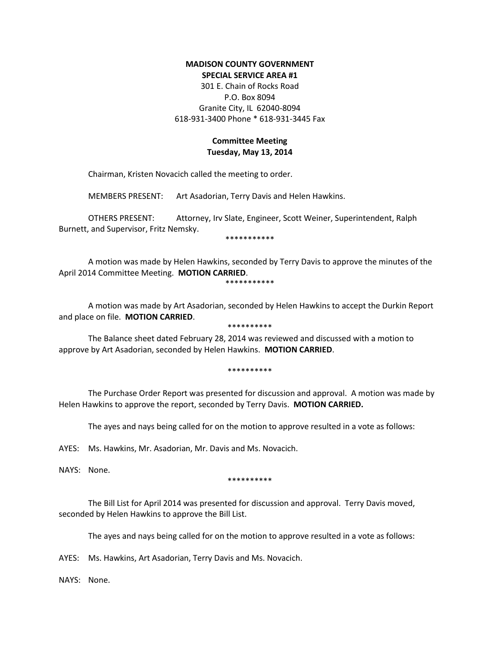## **MADISON COUNTY GOVERNMENT SPECIAL SERVICE AREA #1**

301 E. Chain of Rocks Road P.O. Box 8094 Granite City, IL 62040-8094 618-931-3400 Phone \* 618-931-3445 Fax

## **Committee Meeting Tuesday, May 13, 2014**

Chairman, Kristen Novacich called the meeting to order.

MEMBERS PRESENT: Art Asadorian, Terry Davis and Helen Hawkins.

OTHERS PRESENT: Attorney, Irv Slate, Engineer, Scott Weiner, Superintendent, Ralph Burnett, and Supervisor, Fritz Nemsky.

\*\*\*\*\*\*\*\*\*\*\*

A motion was made by Helen Hawkins, seconded by Terry Davis to approve the minutes of the April 2014 Committee Meeting. **MOTION CARRIED**.

\*\*\*\*\*\*\*\*\*\*\*

A motion was made by Art Asadorian, seconded by Helen Hawkins to accept the Durkin Report and place on file. **MOTION CARRIED**. \*\*\*\*\*\*\*\*\*\*

The Balance sheet dated February 28, 2014 was reviewed and discussed with a motion to approve by Art Asadorian, seconded by Helen Hawkins. **MOTION CARRIED**.

\*\*\*\*\*\*\*\*\*\*

The Purchase Order Report was presented for discussion and approval. A motion was made by Helen Hawkins to approve the report, seconded by Terry Davis. **MOTION CARRIED.**

The ayes and nays being called for on the motion to approve resulted in a vote as follows:

AYES: Ms. Hawkins, Mr. Asadorian, Mr. Davis and Ms. Novacich.

NAYS: None.

\*\*\*\*\*\*\*\*\*\*

The Bill List for April 2014 was presented for discussion and approval. Terry Davis moved, seconded by Helen Hawkins to approve the Bill List.

The ayes and nays being called for on the motion to approve resulted in a vote as follows:

AYES: Ms. Hawkins, Art Asadorian, Terry Davis and Ms. Novacich.

NAYS: None.